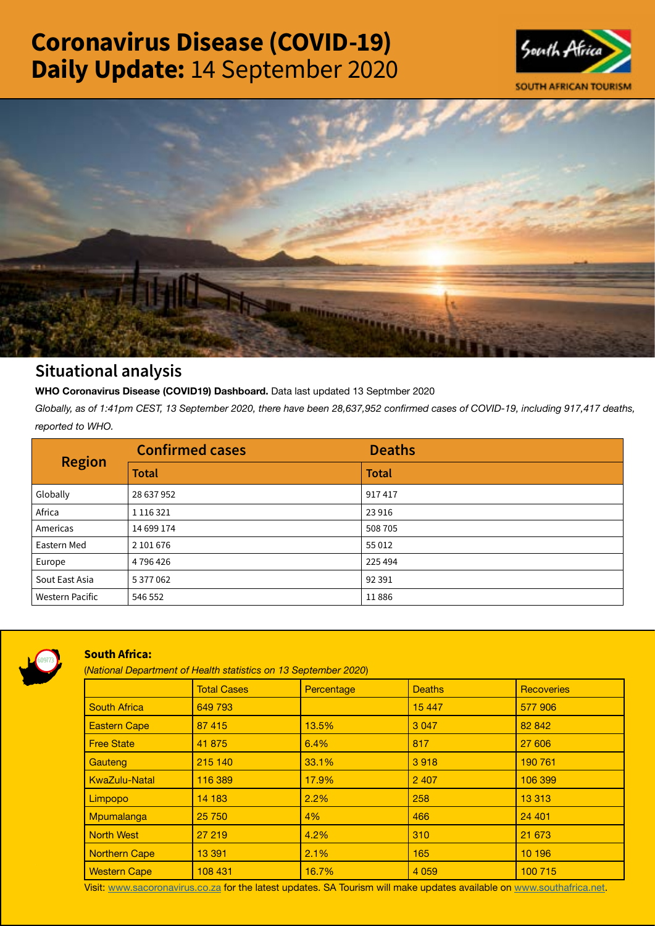# Coronavirus Disease (COVID-19) Daily Update: 14 September 2020





# Situational analysis

**WHO Coronavirus Disease (COVID19) Dashboard.** Data last updated 13 Septmber 2020

*Globally, as of 1:41pm CEST, 13 September 2020, there have been 28,637,952 confirmed cases of COVID-19, including 917,417 deaths, reported to WHO.*

| <b>Region</b>          | <b>Confirmed cases</b> | <b>Deaths</b> |
|------------------------|------------------------|---------------|
|                        | <b>Total</b>           | <b>Total</b>  |
| Globally               | 28 637 952             | 917417        |
| Africa                 | 1 1 1 6 3 2 1          | 23 9 16       |
| Americas               | 14 699 174             | 508 705       |
| Eastern Med            | 2 101 676              | 55 0 12       |
| Europe                 | 4 796 426              | 225 494       |
| Sout East Asia         | 5 377 062              | 92 391        |
| <b>Western Pacific</b> | 546 552                | 11886         |



# South Africa:

(*National Department of Health statistics on 13 September 2020*)

|                      | <b>Total Cases</b> | Percentage | <b>Deaths</b> | Recoveries |
|----------------------|--------------------|------------|---------------|------------|
| <b>South Africa</b>  | 649 793            |            | 15 4 4 7      | 577 906    |
| <b>Eastern Cape</b>  | 87 415             | 13.5%      | 3 0 4 7       | 82 842     |
| <b>Free State</b>    | 41 875             | 6.4%       | 817           | 27 606     |
| Gauteng              | 215 140            | 33.1%      | 3918          | 190 761    |
| <b>KwaZulu-Natal</b> | 116 389            | 17.9%      | 2 4 0 7       | 106 399    |
| Limpopo              | 14 183             | 2.2%       | 258           | 13 3 13    |
| Mpumalanga           | 25 750             | 4%         | 466           | 24 4 01    |
| <b>North West</b>    | 27 219             | 4.2%       | 310           | 21 673     |
| <b>Northern Cape</b> | 13 391             | 2.1%       | 165           | 10 196     |
| <b>Western Cape</b>  | 108 431            | 16.7%      | 4 0 5 9       | 100 715    |

Visit: [www.sacoronavirus.co.za](http://www.sacoronavirus.co.za) for the latest updates. SA Tourism will make updates available on [www.southafrica.net.](http://www.southafrica.net)